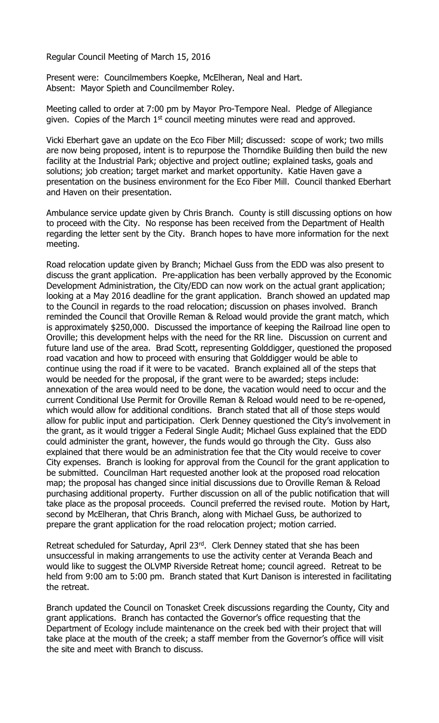Regular Council Meeting of March 15, 2016

Present were: Councilmembers Koepke, McElheran, Neal and Hart. Absent: Mayor Spieth and Councilmember Roley.

Meeting called to order at 7:00 pm by Mayor Pro-Tempore Neal. Pledge of Allegiance given. Copies of the March  $1<sup>st</sup>$  council meeting minutes were read and approved.

Vicki Eberhart gave an update on the Eco Fiber Mill; discussed: scope of work; two mills are now being proposed, intent is to repurpose the Thorndike Building then build the new facility at the Industrial Park; objective and project outline; explained tasks, goals and solutions; job creation; target market and market opportunity. Katie Haven gave a presentation on the business environment for the Eco Fiber Mill. Council thanked Eberhart and Haven on their presentation.

Ambulance service update given by Chris Branch. County is still discussing options on how to proceed with the City. No response has been received from the Department of Health regarding the letter sent by the City. Branch hopes to have more information for the next meeting.

Road relocation update given by Branch; Michael Guss from the EDD was also present to discuss the grant application. Pre-application has been verbally approved by the Economic Development Administration, the City/EDD can now work on the actual grant application; looking at a May 2016 deadline for the grant application. Branch showed an updated map to the Council in regards to the road relocation; discussion on phases involved. Branch reminded the Council that Oroville Reman & Reload would provide the grant match, which is approximately \$250,000. Discussed the importance of keeping the Railroad line open to Oroville; this development helps with the need for the RR line. Discussion on current and future land use of the area. Brad Scott, representing Golddigger, questioned the proposed road vacation and how to proceed with ensuring that Golddigger would be able to continue using the road if it were to be vacated. Branch explained all of the steps that would be needed for the proposal, if the grant were to be awarded; steps include: annexation of the area would need to be done, the vacation would need to occur and the current Conditional Use Permit for Oroville Reman & Reload would need to be re-opened, which would allow for additional conditions. Branch stated that all of those steps would allow for public input and participation. Clerk Denney questioned the City's involvement in the grant, as it would trigger a Federal Single Audit; Michael Guss explained that the EDD could administer the grant, however, the funds would go through the City. Guss also explained that there would be an administration fee that the City would receive to cover City expenses. Branch is looking for approval from the Council for the grant application to be submitted. Councilman Hart requested another look at the proposed road relocation map; the proposal has changed since initial discussions due to Oroville Reman & Reload purchasing additional property. Further discussion on all of the public notification that will take place as the proposal proceeds. Council preferred the revised route. Motion by Hart, second by McElheran, that Chris Branch, along with Michael Guss, be authorized to prepare the grant application for the road relocation project; motion carried.

Retreat scheduled for Saturday, April 23rd. Clerk Denney stated that she has been unsuccessful in making arrangements to use the activity center at Veranda Beach and would like to suggest the OLVMP Riverside Retreat home; council agreed. Retreat to be held from 9:00 am to 5:00 pm. Branch stated that Kurt Danison is interested in facilitating the retreat.

Branch updated the Council on Tonasket Creek discussions regarding the County, City and grant applications. Branch has contacted the Governor's office requesting that the Department of Ecology include maintenance on the creek bed with their project that will take place at the mouth of the creek; a staff member from the Governor's office will visit the site and meet with Branch to discuss.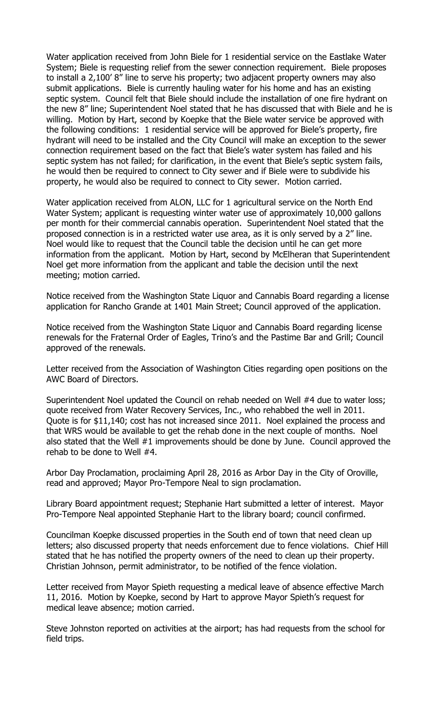Water application received from John Biele for 1 residential service on the Eastlake Water System; Biele is requesting relief from the sewer connection requirement. Biele proposes to install a 2,100' 8" line to serve his property; two adjacent property owners may also submit applications. Biele is currently hauling water for his home and has an existing septic system. Council felt that Biele should include the installation of one fire hydrant on the new 8" line; Superintendent Noel stated that he has discussed that with Biele and he is willing. Motion by Hart, second by Koepke that the Biele water service be approved with the following conditions: 1 residential service will be approved for Biele's property, fire hydrant will need to be installed and the City Council will make an exception to the sewer connection requirement based on the fact that Biele's water system has failed and his septic system has not failed; for clarification, in the event that Biele's septic system fails, he would then be required to connect to City sewer and if Biele were to subdivide his property, he would also be required to connect to City sewer. Motion carried.

Water application received from ALON, LLC for 1 agricultural service on the North End Water System; applicant is requesting winter water use of approximately 10,000 gallons per month for their commercial cannabis operation. Superintendent Noel stated that the proposed connection is in a restricted water use area, as it is only served by a 2" line. Noel would like to request that the Council table the decision until he can get more information from the applicant. Motion by Hart, second by McElheran that Superintendent Noel get more information from the applicant and table the decision until the next meeting; motion carried.

Notice received from the Washington State Liquor and Cannabis Board regarding a license application for Rancho Grande at 1401 Main Street; Council approved of the application.

Notice received from the Washington State Liquor and Cannabis Board regarding license renewals for the Fraternal Order of Eagles, Trino's and the Pastime Bar and Grill; Council approved of the renewals.

Letter received from the Association of Washington Cities regarding open positions on the AWC Board of Directors.

Superintendent Noel updated the Council on rehab needed on Well #4 due to water loss; quote received from Water Recovery Services, Inc., who rehabbed the well in 2011. Quote is for \$11,140; cost has not increased since 2011. Noel explained the process and that WRS would be available to get the rehab done in the next couple of months. Noel also stated that the Well #1 improvements should be done by June. Council approved the rehab to be done to Well #4.

Arbor Day Proclamation, proclaiming April 28, 2016 as Arbor Day in the City of Oroville, read and approved; Mayor Pro-Tempore Neal to sign proclamation.

Library Board appointment request; Stephanie Hart submitted a letter of interest. Mayor Pro-Tempore Neal appointed Stephanie Hart to the library board; council confirmed.

Councilman Koepke discussed properties in the South end of town that need clean up letters; also discussed property that needs enforcement due to fence violations. Chief Hill stated that he has notified the property owners of the need to clean up their property. Christian Johnson, permit administrator, to be notified of the fence violation.

Letter received from Mayor Spieth requesting a medical leave of absence effective March 11, 2016. Motion by Koepke, second by Hart to approve Mayor Spieth's request for medical leave absence; motion carried.

Steve Johnston reported on activities at the airport; has had requests from the school for field trips.